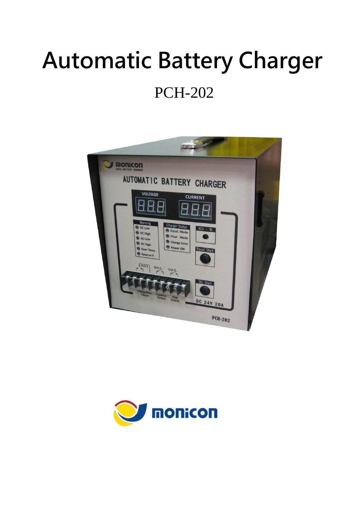# Automatic Battery Charger

## PCH-202



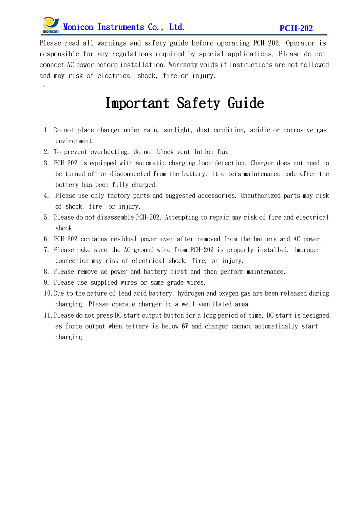

 $\circ$ 

Please read all warnings and safety guide before operating PCH-202. Operator is responsible for any regulations required by special applications. Please do not connect AC power before installation. Warranty voids if instructions are not followed and may risk of electrical shock, fire or injury.

#### Important Safety Guide

- 1. Do not place charger under rain, sunlight, dust condition, acidic or corrosive gas environment.
- 2. To prevent overheating, do not block ventilation fan.
- 3. PCH-202 is equipped with automatic charging loop detection. Charger does not need to be turned off or disconnected from the battery, it enters maintenance mode after the battery has been fully charged.
- 4. Please use only factory parts and suggested accessories. Unauthorized parts may risk of shock, fire, or injury.
- 5. Please do not disassemble PCH-202. Attempting to repair may risk of fire and electrical shock.
- 6. PCH-202 contains residual power even after removed from the battery and AC power.
- 7. Please make sure the AC ground wire from PCH-202 is properly installed. Improper connection may risk of electrical shock, fire, or injury.
- 8. Please remove ac power and battery first and then perform maintenance.
- 9. Please use supplied wires or same grade wires.
- 10.Due to the nature of lead acid battery, hydrogen and oxygen gas are been released during charging. Please operate charger in a well-ventilated area.
- 11.Please do not press DC start output button for a long period of time. DC start is designed as force output when battery is below 6V and charger cannot automatically start charging.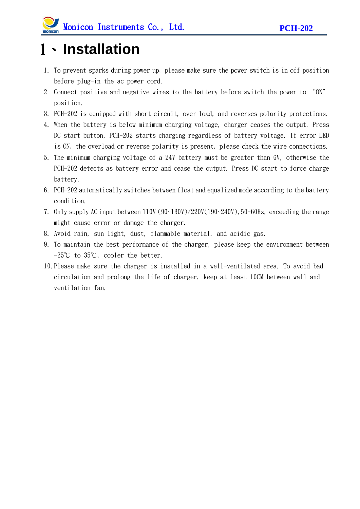### 1、**Installation**

- 1. To prevent sparks during power up, please make sure the power switch is in off position before plug-in the ac power cord.
- 2. Connect positive and negative wires to the battery before switch the power to "ON" position.
- 3. PCH-202 is equipped with short circuit, over load, and reverses polarity protections.
- 4. When the battery is below minimum charging voltage, charger ceases the output. Press DC start button, PCH-202 starts charging regardless of battery voltage. If error LED is ON, the overload or reverse polarity is present, please check the wire connections.
- 5. The minimum charging voltage of a 24V battery must be greater than 6V, otherwise the PCH-202 detects as battery error and cease the output. Press DC start to force charge battery.
- 6. PCH-202 automatically switches between float and equalized mode according to the battery condition.
- 7. Only supply AC input between  $110V (90~130V)/220V(190~240V)$ , 50-60Hz, exceeding the range might cause error or damage the charger.
- 8. Avoid rain, sun light, dust, flammable material, and acidic gas.
- 9. To maintain the best performance of the charger, please keep the environment between -25℃ to 35℃, cooler the better.
- 10.Please make sure the charger is installed in a well-ventilated area. To avoid bad circulation and prolong the life of charger, keep at least 10CM between wall and ventilation fan.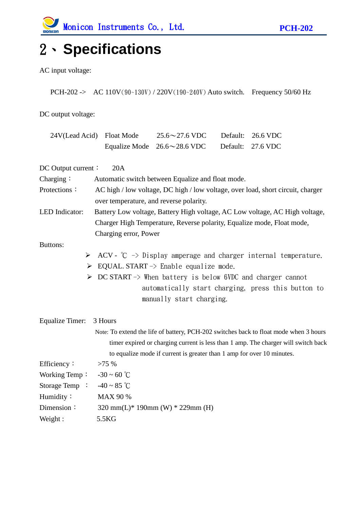### 2、**Specifications**

AC input voltage:

PCH-202 -> AC 110V(90~130V) / 220V(190~240V) Auto switch. Frequency 50/60 Hz

DC output voltage:

| 24V(Lead Acid) Float Mode                                                             |                                                                                 | $25.6 \sim 27.6$ VDC                                                   | Default: | 26.6 VDC                                           |
|---------------------------------------------------------------------------------------|---------------------------------------------------------------------------------|------------------------------------------------------------------------|----------|----------------------------------------------------|
|                                                                                       |                                                                                 | Equalize Mode $26.6 \sim 28.6$ VDC                                     | Default: | 27.6 VDC                                           |
| DC Output current:                                                                    | 20A                                                                             |                                                                        |          |                                                    |
| Charging:                                                                             | Automatic switch between Equalize and float mode.                               |                                                                        |          |                                                    |
| Protections:                                                                          | AC high / low voltage, DC high / low voltage, over load, short circuit, charger |                                                                        |          |                                                    |
|                                                                                       | over temperature, and reverse polarity.                                         |                                                                        |          |                                                    |
| LED Indicator:                                                                        | Battery Low voltage, Battery High voltage, AC Low voltage, AC High voltage,     |                                                                        |          |                                                    |
|                                                                                       | Charger High Temperature, Reverse polarity, Equalize mode, Float mode,          |                                                                        |          |                                                    |
| Charging error, Power                                                                 |                                                                                 |                                                                        |          |                                                    |
| Buttons:                                                                              |                                                                                 |                                                                        |          |                                                    |
| ➤                                                                                     | ACV - $\degree$ C -> Display amperage and charger internal temperature.         |                                                                        |          |                                                    |
|                                                                                       |                                                                                 | $\triangleright$ EQUAL START -> Enable equalize mode.                  |          |                                                    |
| $\triangleright$ DC START -> When battery is below 6VDC and charger cannot            |                                                                                 |                                                                        |          |                                                    |
|                                                                                       |                                                                                 |                                                                        |          | automatically start charging, press this button to |
|                                                                                       |                                                                                 | manually start charging.                                               |          |                                                    |
| Equalize Timer:                                                                       | 3 Hours                                                                         |                                                                        |          |                                                    |
| Note: To extend the life of battery, PCH-202 switches back to float mode when 3 hours |                                                                                 |                                                                        |          |                                                    |
| timer expired or charging current is less than 1 amp. The charger will switch back    |                                                                                 |                                                                        |          |                                                    |
|                                                                                       |                                                                                 | to equalize mode if current is greater than 1 amp for over 10 minutes. |          |                                                    |
| Efficiency:                                                                           | >75%                                                                            |                                                                        |          |                                                    |
| Working Temp: $-30 \sim 60$ °C                                                        |                                                                                 |                                                                        |          |                                                    |
| Storage Temp : $-40 \sim 85$ °C                                                       |                                                                                 |                                                                        |          |                                                    |
| Humidity:                                                                             | <b>MAX 90 %</b>                                                                 |                                                                        |          |                                                    |
| Dimension:                                                                            | 320 mm(L)* 190mm (W) * 229mm (H)                                                |                                                                        |          |                                                    |
| Weight:                                                                               | 5.5KG                                                                           |                                                                        |          |                                                    |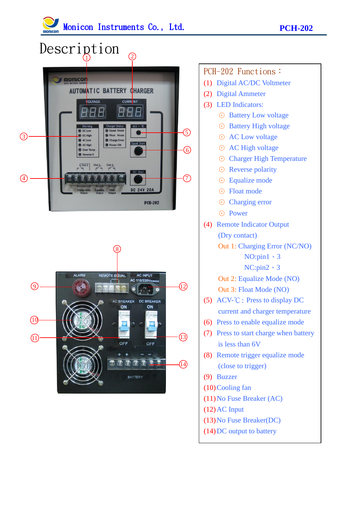